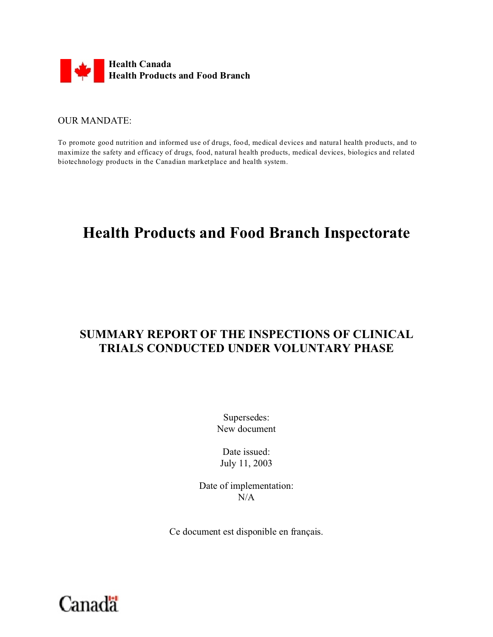

#### OUR MANDATE:

To promote good nutrition and informed use of drugs, food, medical devices and natural health products, and to maximize the safety and efficacy of drugs, food, natural health products, medical devices, biologics and related biotechnology products in the Canadian marketplace and health system.

# **Health Products and Food Branch Inspectorate**

# **SUMMARY REPORT OF THE INSPECTIONS OF CLINICAL TRIALS CONDUCTED UNDER VOLUNTARY PHASE**

Supersedes: New document

Date issued: July 11, 2003

Date of implementation:  $N/A$ 

Ce document est disponible en français.

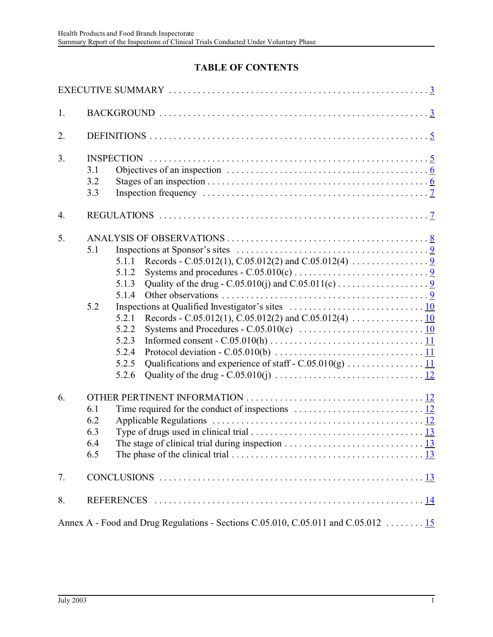## **TABLE OF CONTENTS**

<span id="page-1-0"></span>

| 1.                                                                                |                                                                                                                                                                                                                        |  |  |  |  |  |  |
|-----------------------------------------------------------------------------------|------------------------------------------------------------------------------------------------------------------------------------------------------------------------------------------------------------------------|--|--|--|--|--|--|
| 2.                                                                                |                                                                                                                                                                                                                        |  |  |  |  |  |  |
| 3.                                                                                | <b>INSPECTION</b><br>Objectives of an inspection $\dots \dots \dots \dots \dots \dots \dots \dots \dots \dots \dots \dots \dots \dots \dots$<br>3.1<br>3.2<br>3.3                                                      |  |  |  |  |  |  |
| 4.                                                                                |                                                                                                                                                                                                                        |  |  |  |  |  |  |
| 5.                                                                                | 5.1<br>Inspections at Sponsor's sites $\dots \dots \dots \dots \dots \dots \dots \dots \dots \dots \dots \dots \dots$<br>5.1.1<br>5.1.2<br>5.1.3<br>5.1.4<br>5.2<br>5.2.1<br>5.2.2<br>5.2.3<br>5.2.4<br>5.2.5<br>5.2.6 |  |  |  |  |  |  |
| 6.                                                                                | 6.1<br>6.2<br>6.3<br>6.4<br>The stage of clinical trial during inspection $\ldots \ldots \ldots \ldots \ldots \ldots \ldots \ldots \ldots \frac{13}{2}$<br>6.5                                                         |  |  |  |  |  |  |
| 7.                                                                                |                                                                                                                                                                                                                        |  |  |  |  |  |  |
| 8.                                                                                |                                                                                                                                                                                                                        |  |  |  |  |  |  |
| Annex A - Food and Drug Regulations - Sections C.05.010, C.05.011 and C.05.012 15 |                                                                                                                                                                                                                        |  |  |  |  |  |  |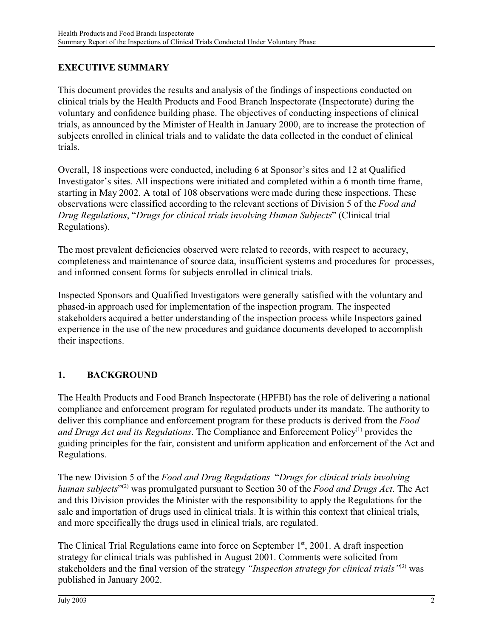## **EXECUTIVE SUMMARY**

This document provides the results and analysis of the findings of inspections conducted on clinical trials by the Health Products and Food Branch Inspectorate (Inspectorate) during the voluntary and confidence building phase. The objectives of conducting inspections of clinical trials, as announced by the Minister of Health in January 2000, are to increase the protection of subjects enrolled in clinical trials and to validate the data collected in the conduct of clinical trials.

Overall, 18 inspections were conducted, including 6 at Sponsor's sites and 12 at Qualified Investigator's sites. All inspections were initiated and completed within a 6 month time frame, starting in May 2002. A total of 108 observations were made during these inspections. These observations were classified according to the relevant sections of Division 5 of the *Food and Drug Regulations*, "*Drugs for clinical trials involving Human Subjects*" (Clinical trial Regulations).

The most prevalent deficiencies observed were related to records, with respect to accuracy, completeness and maintenance of source data, insufficient systems and procedures for processes, and informed consent forms for subjects enrolled in clinical trials.

Inspected Sponsors and Qualified Investigators were generally satisfied with the voluntary and phased-in approach used for implementation of the inspection program. The inspected stakeholders acquired a better understanding of the inspection process while Inspectors gained experience in the use of the new procedures and guidance documents developed to accomplish their inspections.

## **1. BACKGROUND**

The Health Products and Food Branch Inspectorate (HPFBI) has the role of delivering a national compliance and enforcement program for regulated products under its mandate. The authority to deliver this compliance and enforcement program for these products is derived from the *Food and Drugs Act and its Regulations.* The Compliance and Enforcement Policy<sup>(1)</sup> provides the guiding principles for the fair, consistent and uniform application and enforcement of the Act and Regulations.

The new Division 5 of the *Food and Drug Regulations* "*Drugs for clinical trials involving human subjects*" (2) was promulgated pursuant to Section 30 of the *Food and Drugs Act*. The Act and this Division provides the Minister with the responsibility to apply the Regulations for the sale and importation of drugs used in clinical trials. It is within this context that clinical trials, and more specifically the drugs used in clinical trials, are regulated.

The Clinical Trial Regulations came into force on September  $1<sup>st</sup>$ , 2001. A draft inspection strategy for clinical trials was published in August 2001. Comments were solicited from stakeholders and the final version of the strategy *"Inspection strategy for clinical trials"*(3) was published in January 2002.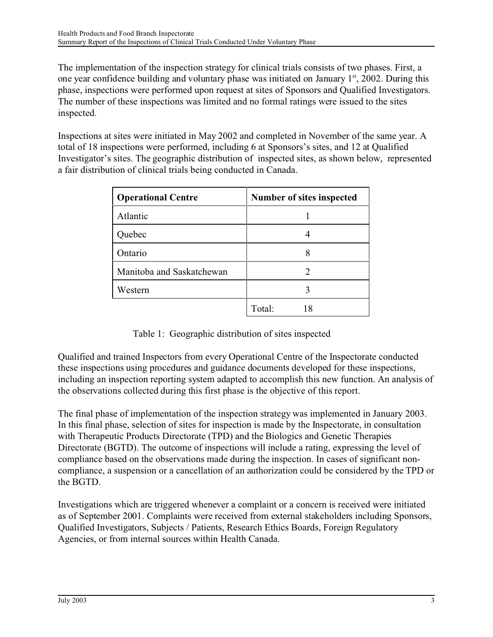The implementation of the inspection strategy for clinical trials consists of two phases. First, a one year confidence building and voluntary phase was initiated on January  $1<sup>st</sup>$ , 2002. During this phase, inspections were performed upon request at sites of Sponsors and Qualified Investigators. The number of these inspections was limited and no formal ratings were issued to the sites inspected.

Inspections at sites were initiated in May 2002 and completed in November of the same year. A total of 18 inspections were performed, including 6 at Sponsors's sites, and 12 at Qualified Investigator's sites. The geographic distribution of inspected sites, as shown below, represented a fair distribution of clinical trials being conducted in Canada.

| <b>Operational Centre</b> | Number of sites inspected |  |  |
|---------------------------|---------------------------|--|--|
| Atlantic                  |                           |  |  |
| Quebec                    |                           |  |  |
| Ontario                   |                           |  |  |
| Manitoba and Saskatchewan |                           |  |  |
| Western                   | 3                         |  |  |
|                           | Total:                    |  |  |

## Table 1: Geographic distribution of sites inspected

Qualified and trained Inspectors from every Operational Centre of the Inspectorate conducted these inspections using procedures and guidance documents developed for these inspections, including an inspection reporting system adapted to accomplish this new function. An analysis of the observations collected during this first phase is the objective of this report.

The final phase of implementation of the inspection strategy was implemented in January 2003. In this final phase, selection of sites for inspection is made by the Inspectorate, in consultation with Therapeutic Products Directorate (TPD) and the Biologics and Genetic Therapies Directorate (BGTD). The outcome of inspections will include a rating, expressing the level of compliance based on the observations made during the inspection. In cases of significant noncompliance, a suspension or a cancellation of an authorization could be considered by the TPD or the BGTD.

Investigations which are triggered whenever a complaint or a concern is received were initiated as of September 2001. Complaints were received from external stakeholders including Sponsors, Qualified Investigators, Subjects / Patients, Research Ethics Boards, Foreign Regulatory Agencies, or from internal sources within Health Canada.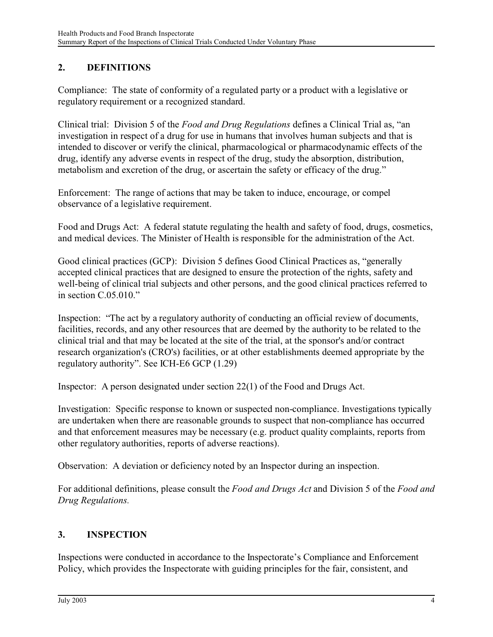## **2. DEFINITIONS**

Compliance: The state of conformity of a regulated party or a product with a legislative or regulatory requirement or a recognized standard.

Clinical trial: Division 5 of the *Food and Drug Regulations* defines a Clinical Trial as, "an investigation in respect of a drug for use in humans that involves human subjects and that is intended to discover or verify the clinical, pharmacological or pharmacodynamic effects of the drug, identify any adverse events in respect of the drug, study the absorption, distribution, metabolism and excretion of the drug, or ascertain the safety or efficacy of the drug."

Enforcement: The range of actions that may be taken to induce, encourage, or compel observance of a legislative requirement.

Food and Drugs Act: A federal statute regulating the health and safety of food, drugs, cosmetics, and medical devices. The Minister of Health is responsible for the administration of the Act.

Good clinical practices (GCP): Division 5 defines Good Clinical Practices as, "generally accepted clinical practices that are designed to ensure the protection of the rights, safety and well-being of clinical trial subjects and other persons, and the good clinical practices referred to in section C.05.010."

Inspection: "The act by a regulatory authority of conducting an official review of documents, facilities, records, and any other resources that are deemed by the authority to be related to the clinical trial and that may be located at the site of the trial, at the sponsor's and/or contract research organization's (CRO's) facilities, or at other establishments deemed appropriate by the regulatory authority". See ICH-E6 GCP (1.29)

Inspector: A person designated under section 22(1) of the Food and Drugs Act.

Investigation: Specific response to known or suspected non-compliance. Investigations typically are undertaken when there are reasonable grounds to suspect that non-compliance has occurred and that enforcement measures may be necessary (e.g. product quality complaints, reports from other regulatory authorities, reports of adverse reactions).

Observation: A deviation or deficiency noted by an Inspector during an inspection.

For additional definitions, please consult the *Food and Drugs Act* and Division 5 of the *Food and Drug Regulations.*

## **3. INSPECTION**

Inspections were conducted in accordance to the Inspectorate's Compliance and Enforcement Policy, which provides the Inspectorate with guiding principles for the fair, consistent, and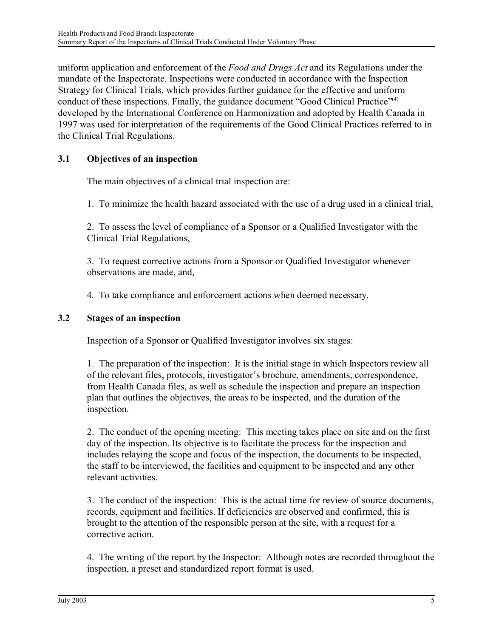uniform application and enforcement of the *Food and Drugs Act* and its Regulations under the mandate of the Inspectorate. Inspections were conducted in accordance with the Inspection Strategy for Clinical Trials, which provides further guidance for the effective and uniform conduct of these inspections. Finally, the guidance document "Good Clinical Practice"<sup>(4)</sup> developed by the International Conference on Harmonization and adopted by Health Canada in 1997 was used for interpretation of the requirements of the Good Clinical Practices referred to in the Clinical Trial Regulations.

## **3.1 Objectives of an inspection**

The main objectives of a clinical trial inspection are:

1. To minimize the health hazard associated with the use of a drug used in a clinical trial,

2. To assess the level of compliance of a Sponsor or a Qualified Investigator with the Clinical Trial Regulations,

3. To request corrective actions from a Sponsor or Qualified Investigator whenever observations are made, and,

4. To take compliance and enforcement actions when deemed necessary.

#### **3.2 Stages of an inspection**

Inspection of a Sponsor or Qualified Investigator involves six stages:

1. The preparation of the inspection: It is the initial stage in which Inspectors review all of the relevant files, protocols, investigator's brochure, amendments, correspondence, from Health Canada files, as well as schedule the inspection and prepare an inspection plan that outlines the objectives, the areas to be inspected, and the duration of the inspection.

2. The conduct of the opening meeting: This meeting takes place on site and on the first day of the inspection. Its objective is to facilitate the process for the inspection and includes relaying the scope and focus of the inspection, the documents to be inspected, the staff to be interviewed, the facilities and equipment to be inspected and any other relevant activities.

3. The conduct of the inspection: This is the actual time for review of source documents, records, equipment and facilities. If deficiencies are observed and confirmed, this is brought to the attention of the responsible person at the site, with a request for a corrective action.

4. The writing of the report by the Inspector: Although notes are recorded throughout the inspection, a preset and standardized report format is used.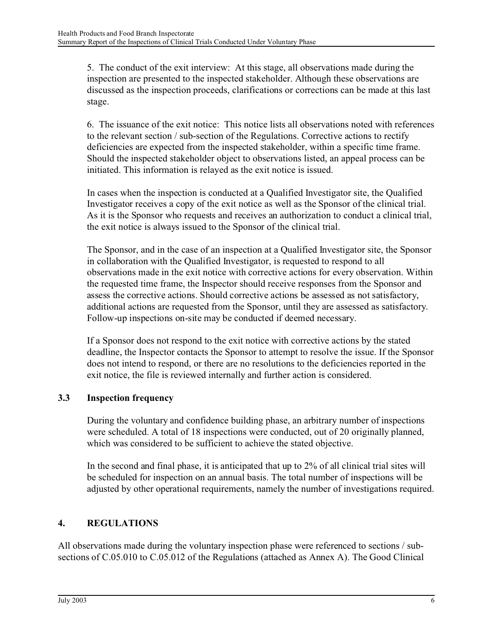5. The conduct of the exit interview: At this stage, all observations made during the inspection are presented to the inspected stakeholder. Although these observations are discussed as the inspection proceeds, clarifications or corrections can be made at this last stage.

6. The issuance of the exit notice: This notice lists all observations noted with references to the relevant section / sub-section of the Regulations. Corrective actions to rectify deficiencies are expected from the inspected stakeholder, within a specific time frame. Should the inspected stakeholder object to observations listed, an appeal process can be initiated. This information is relayed as the exit notice is issued.

In cases when the inspection is conducted at a Qualified Investigator site, the Qualified Investigator receives a copy of the exit notice as well as the Sponsor of the clinical trial. As it is the Sponsor who requests and receives an authorization to conduct a clinical trial, the exit notice is always issued to the Sponsor of the clinical trial.

The Sponsor, and in the case of an inspection at a Qualified Investigator site, the Sponsor in collaboration with the Qualified Investigator, is requested to respond to all observations made in the exit notice with corrective actions for every observation. Within the requested time frame, the Inspector should receive responses from the Sponsor and assess the corrective actions. Should corrective actions be assessed as not satisfactory, additional actions are requested from the Sponsor, until they are assessed as satisfactory. Follow-up inspections on-site may be conducted if deemed necessary.

If a Sponsor does not respond to the exit notice with corrective actions by the stated deadline, the Inspector contacts the Sponsor to attempt to resolve the issue. If the Sponsor does not intend to respond, or there are no resolutions to the deficiencies reported in the exit notice, the file is reviewed internally and further action is considered.

## **3.3 Inspection frequency**

During the voluntary and confidence building phase, an arbitrary number of inspections were scheduled. A total of 18 inspections were conducted, out of 20 originally planned, which was considered to be sufficient to achieve the stated objective.

In the second and final phase, it is anticipated that up to 2% of all clinical trial sites will be scheduled for inspection on an annual basis. The total number of inspections will be adjusted by other operational requirements, namely the number of investigations required.

## **4. REGULATIONS**

All observations made during the voluntary inspection phase were referenced to sections / subsections of C.05.010 to C.05.012 of the Regulations (attached as Annex A). The Good Clinical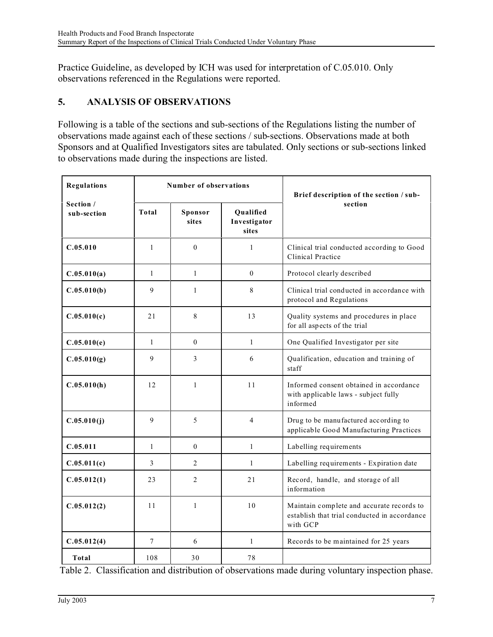Practice Guideline, as developed by ICH was used for interpretation of C.05.010. Only observations referenced in the Regulations were reported.

## **5. ANALYSIS OF OBSERVATIONS**

Following is a table of the sections and sub-sections of the Regulations listing the number of observations made against each of these sections / sub-sections. Observations made at both Sponsors and at Qualified Investigators sites are tabulated. Only sections or sub-sections linked to observations made during the inspections are listed.

| <b>Regulations</b>       | Number of observations |                  |                                    | Brief description of the section / sub-                                                               |
|--------------------------|------------------------|------------------|------------------------------------|-------------------------------------------------------------------------------------------------------|
| Section /<br>sub-section | Total                  | Sponsor<br>sites | Oualified<br>Investigator<br>sites | section                                                                                               |
| C.05.010                 | $\mathbf{1}$           | $\theta$         | $\mathbf{1}$                       | Clinical trial conducted according to Good<br>Clinical Practice                                       |
| C.05.010(a)              | $\mathbf{1}$           | $\mathbf{1}$     | $\Omega$                           | Protocol clearly described                                                                            |
| C.05.010(b)              | 9                      | $\mathbf{1}$     | 8                                  | Clinical trial conducted in accordance with<br>protocol and Regulations                               |
| C.05.010(c)              | 21                     | 8                | 13                                 | Quality systems and procedures in place<br>for all aspects of the trial                               |
| C.05.010(e)              | $\mathbf{1}$           | $\Omega$         | $\mathbf{1}$                       | One Qualified Investigator per site                                                                   |
| C.05.010(g)              | 9                      | 3                | 6                                  | Qualification, education and training of<br>staff                                                     |
| C.05.010(h)              | 12                     | $\mathbf{1}$     | 11                                 | Informed consent obtained in accordance<br>with applicable laws - subject fully<br>informed           |
| C.05.010(j)              | 9                      | 5                | 4                                  | Drug to be manufactured according to<br>applicable Good Manufacturing Practices                       |
| C.05.011                 | $\mathbf{1}$           | $\mathbf{0}$     | $\mathbf{1}$                       | Labelling requirements                                                                                |
| C.05.011(c)              | 3                      | 2                | $\mathbf{1}$                       | Labelling requirements - Expiration date                                                              |
| C.05.012(1)              | 23                     | $\mathfrak{D}$   | 2.1                                | Record, handle, and storage of all<br>information                                                     |
| C.05.012(2)              | 11                     | $\mathbf{1}$     | 10                                 | Maintain complete and accurate records to<br>establish that trial conducted in accordance<br>with GCP |
| C.05.012(4)              | $\tau$                 | 6                | $\mathbf{1}$                       | Records to be maintained for 25 years                                                                 |
| Total                    | 108                    | 30               | 78                                 |                                                                                                       |

Table 2. Classification and distribution of observations made during voluntary inspection phase.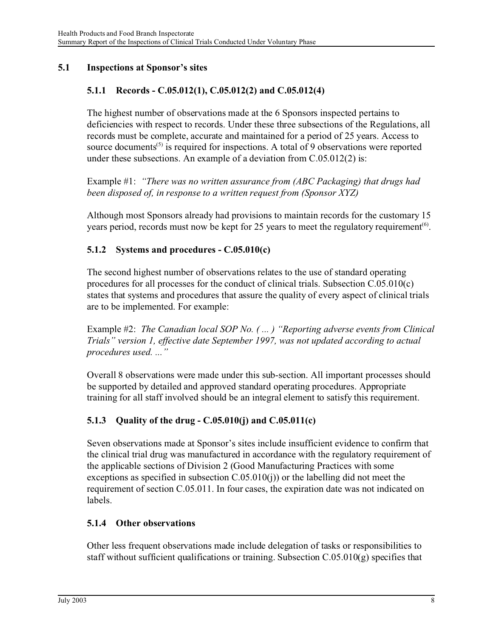#### **5.1 Inspections at Sponsor's sites**

#### **5.1.1 Records - C.05.012(1), C.05.012(2) and C.05.012(4)**

The highest number of observations made at the 6 Sponsors inspected pertains to deficiencies with respect to records. Under these three subsections of the Regulations, all records must be complete, accurate and maintained for a period of 25 years. Access to source documents<sup> $(5)$ </sup> is required for inspections. A total of 9 observations were reported under these subsections. An example of a deviation from C.05.012(2) is:

Example #1: *"There was no written assurance from (ABC Packaging) that drugs had been disposed of, in response to a written request from (Sponsor XYZ)*

Although most Sponsors already had provisions to maintain records for the customary 15 years period, records must now be kept for 25 years to meet the regulatory requirement<sup> $(6)$ </sup>.

#### **5.1.2 Systems and procedures - C.05.010(c)**

The second highest number of observations relates to the use of standard operating procedures for all processes for the conduct of clinical trials. Subsection C.05.010(c) states that systems and procedures that assure the quality of every aspect of clinical trials are to be implemented. For example:

Example #2: *The Canadian local SOP No. ( ... ) "Reporting adverse events from Clinical Trials" version 1, effective date September 1997, was not updated according to actual procedures used. ..."*

Overall 8 observations were made under this sub-section. All important processes should be supported by detailed and approved standard operating procedures. Appropriate training for all staff involved should be an integral element to satisfy this requirement.

## **5.1.3 Quality of the drug - C.05.010(j) and C.05.011(c)**

Seven observations made at Sponsor's sites include insufficient evidence to confirm that the clinical trial drug was manufactured in accordance with the regulatory requirement of the applicable sections of Division 2 (Good Manufacturing Practices with some exceptions as specified in subsection C.05.010(j)) or the labelling did not meet the requirement of section C.05.011. In four cases, the expiration date was not indicated on labels.

#### **5.1.4 Other observations**

Other less frequent observations made include delegation of tasks or responsibilities to staff without sufficient qualifications or training. Subsection  $C.05.010(g)$  specifies that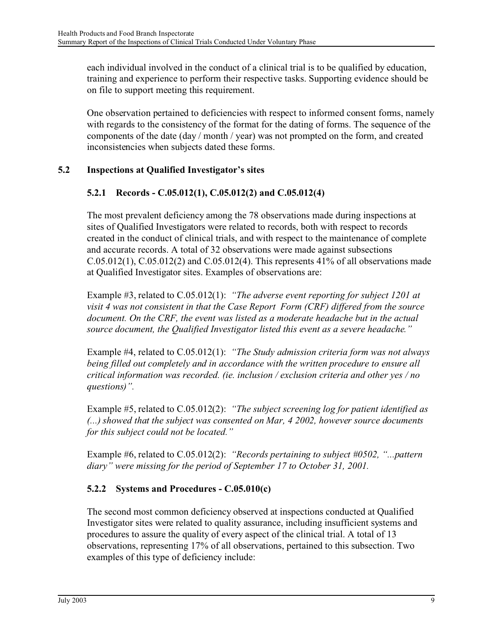each individual involved in the conduct of a clinical trial is to be qualified by education, training and experience to perform their respective tasks. Supporting evidence should be on file to support meeting this requirement.

One observation pertained to deficiencies with respect to informed consent forms, namely with regards to the consistency of the format for the dating of forms. The sequence of the components of the date (day / month / year) was not prompted on the form, and created inconsistencies when subjects dated these forms.

## **5.2 Inspections at Qualified Investigator's sites**

## **5.2.1 Records - C.05.012(1), C.05.012(2) and C.05.012(4)**

The most prevalent deficiency among the 78 observations made during inspections at sites of Qualified Investigators were related to records, both with respect to records created in the conduct of clinical trials, and with respect to the maintenance of complete and accurate records. A total of 32 observations were made against subsections  $C.05.012(1)$ ,  $C.05.012(2)$  and  $C.05.012(4)$ . This represents 41% of all observations made at Qualified Investigator sites. Examples of observations are:

Example #3, related to C.05.012(1): *"The adverse event reporting for subject 1201 at visit 4 was not consistent in that the Case Report Form (CRF) differed from the source document. On the CRF, the event was listed as a moderate headache but in the actual source document, the Qualified Investigator listed this event as a severe headache."*

Example #4, related to C.05.012(1): *"The Study admission criteria form was not always being filled out completely and in accordance with the written procedure to ensure all critical information was recorded. (ie. inclusion / exclusion criteria and other yes / no questions)".*

Example #5, related to C.05.012(2): *"The subject screening log for patient identified as (...) showed that the subject was consented on Mar, 4 2002, however source documents for this subject could not be located."*

Example #6, related to C.05.012(2): *"Records pertaining to subject #0502, "...pattern diary" were missing for the period of September 17 to October 31, 2001.*

## **5.2.2 Systems and Procedures - C.05.010(c)**

The second most common deficiency observed at inspections conducted at Qualified Investigator sites were related to quality assurance, including insufficient systems and procedures to assure the quality of every aspect of the clinical trial. A total of 13 observations, representing 17% of all observations, pertained to this subsection. Two examples of this type of deficiency include: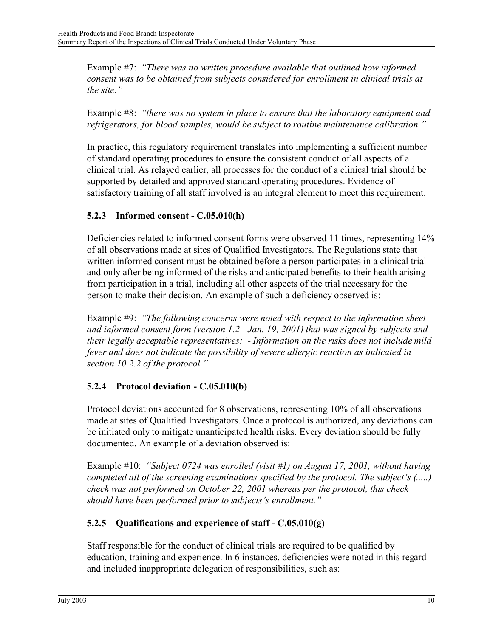Example #7: *"There was no written procedure available that outlined how informed consent was to be obtained from subjects considered for enrollment in clinical trials at the site."*

Example #8: *"there was no system in place to ensure that the laboratory equipment and refrigerators, for blood samples, would be subject to routine maintenance calibration."* 

In practice, this regulatory requirement translates into implementing a sufficient number of standard operating procedures to ensure the consistent conduct of all aspects of a clinical trial. As relayed earlier, all processes for the conduct of a clinical trial should be supported by detailed and approved standard operating procedures. Evidence of satisfactory training of all staff involved is an integral element to meet this requirement.

## **5.2.3 Informed consent - C.05.010(h)**

Deficiencies related to informed consent forms were observed 11 times, representing 14% of all observations made at sites of Qualified Investigators. The Regulations state that written informed consent must be obtained before a person participates in a clinical trial and only after being informed of the risks and anticipated benefits to their health arising from participation in a trial, including all other aspects of the trial necessary for the person to make their decision. An example of such a deficiency observed is:

Example #9: *"The following concerns were noted with respect to the information sheet and informed consent form (version 1.2 - Jan. 19, 2001) that was signed by subjects and their legally acceptable representatives: - Information on the risks does not include mild fever and does not indicate the possibility of severe allergic reaction as indicated in section 10.2.2 of the protocol."*

## **5.2.4 Protocol deviation - C.05.010(b)**

Protocol deviations accounted for 8 observations, representing 10% of all observations made at sites of Qualified Investigators. Once a protocol is authorized, any deviations can be initiated only to mitigate unanticipated health risks. Every deviation should be fully documented. An example of a deviation observed is:

Example #10: *"Subject 0724 was enrolled (visit #1) on August 17, 2001, without having completed all of the screening examinations specified by the protocol. The subject's (.....) check was not performed on October 22, 2001 whereas per the protocol, this check should have been performed prior to subjects's enrollment."*

## **5.2.5 Qualifications and experience of staff - C.05.010(g)**

Staff responsible for the conduct of clinical trials are required to be qualified by education, training and experience. In 6 instances, deficiencies were noted in this regard and included inappropriate delegation of responsibilities, such as: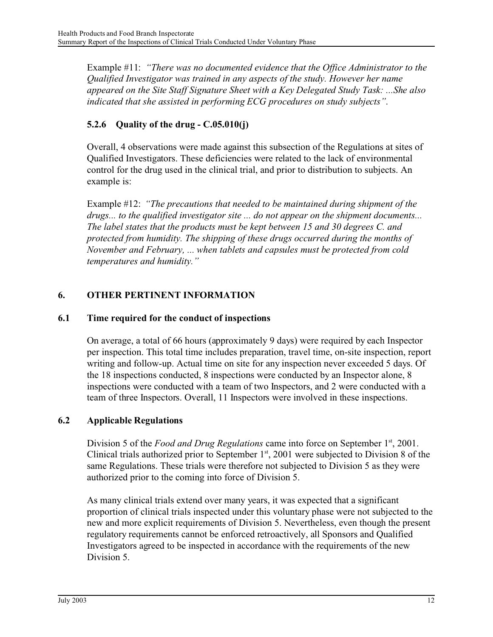Example #11: *"There was no documented evidence that the Office Administrator to the Qualified Investigator was trained in any aspects of the study. However her name appeared on the Site Staff Signature Sheet with a Key Delegated Study Task: ...She also indicated that she assisted in performing ECG procedures on study subjects"*.

## **5.2.6 Quality of the drug - C.05.010(j)**

Overall, 4 observations were made against this subsection of the Regulations at sites of Qualified Investigators. These deficiencies were related to the lack of environmental control for the drug used in the clinical trial, and prior to distribution to subjects. An example is:

Example #12: *"The precautions that needed to be maintained during shipment of the drugs... to the qualified investigator site ... do not appear on the shipment documents... The label states that the products must be kept between 15 and 30 degrees C. and protected from humidity. The shipping of these drugs occurred during the months of November and February, ... when tablets and capsules must be protected from cold temperatures and humidity."*

## **6. OTHER PERTINENT INFORMATION**

#### **6.1 Time required for the conduct of inspections**

On average, a total of 66 hours (approximately 9 days) were required by each Inspector per inspection. This total time includes preparation, travel time, on-site inspection, report writing and follow-up. Actual time on site for any inspection never exceeded 5 days. Of the 18 inspections conducted, 8 inspections were conducted by an Inspector alone, 8 inspections were conducted with a team of two Inspectors, and 2 were conducted with a team of three Inspectors. Overall, 11 Inspectors were involved in these inspections.

## **6.2 Applicable Regulations**

Division 5 of the *Food and Drug Regulations* came into force on September 1<sup>st</sup>, 2001. Clinical trials authorized prior to September  $1<sup>st</sup>$ , 2001 were subjected to Division 8 of the same Regulations. These trials were therefore not subjected to Division 5 as they were authorized prior to the coming into force of Division 5.

As many clinical trials extend over many years, it was expected that a significant proportion of clinical trials inspected under this voluntary phase were not subjected to the new and more explicit requirements of Division 5. Nevertheless, even though the present regulatory requirements cannot be enforced retroactively, all Sponsors and Qualified Investigators agreed to be inspected in accordance with the requirements of the new Division 5.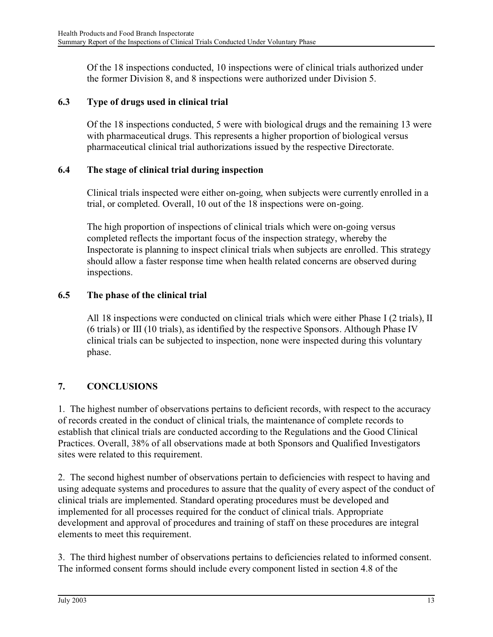Of the 18 inspections conducted, 10 inspections were of clinical trials authorized under the former Division 8, and 8 inspections were authorized under Division 5.

#### **6.3 Type of drugs used in clinical trial**

Of the 18 inspections conducted, 5 were with biological drugs and the remaining 13 were with pharmaceutical drugs. This represents a higher proportion of biological versus pharmaceutical clinical trial authorizations issued by the respective Directorate.

#### **6.4 The stage of clinical trial during inspection**

Clinical trials inspected were either on-going, when subjects were currently enrolled in a trial, or completed. Overall, 10 out of the 18 inspections were on-going.

The high proportion of inspections of clinical trials which were on-going versus completed reflects the important focus of the inspection strategy, whereby the Inspectorate is planning to inspect clinical trials when subjects are enrolled. This strategy should allow a faster response time when health related concerns are observed during inspections.

#### **6.5 The phase of the clinical trial**

All 18 inspections were conducted on clinical trials which were either Phase I (2 trials), II (6 trials) or III (10 trials), as identified by the respective Sponsors. Although Phase IV clinical trials can be subjected to inspection, none were inspected during this voluntary phase.

## **7. CONCLUSIONS**

1. The highest number of observations pertains to deficient records, with respect to the accuracy of records created in the conduct of clinical trials, the maintenance of complete records to establish that clinical trials are conducted according to the Regulations and the Good Clinical Practices. Overall, 38% of all observations made at both Sponsors and Qualified Investigators sites were related to this requirement.

2. The second highest number of observations pertain to deficiencies with respect to having and using adequate systems and procedures to assure that the quality of every aspect of the conduct of clinical trials are implemented. Standard operating procedures must be developed and implemented for all processes required for the conduct of clinical trials. Appropriate development and approval of procedures and training of staff on these procedures are integral elements to meet this requirement.

3. The third highest number of observations pertains to deficiencies related to informed consent. The informed consent forms should include every component listed in section 4.8 of the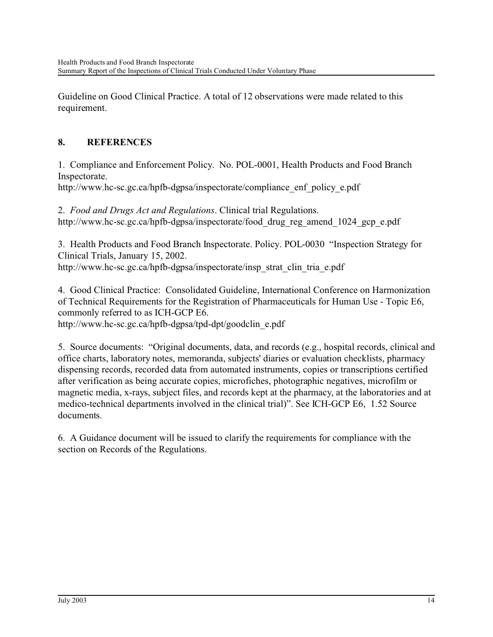Guideline on Good Clinical Practice. A total of 12 observations were made related to this requirement.

## **8. REFERENCES**

1. Compliance and Enforcement Policy. No. POL-0001, Health Products and Food Branch Inspectorate.

http://www.hc-sc.gc.ca/hpfb-dgpsa/inspectorate/compliance\_enf\_policy\_e.pdf

2. *Food and Drugs Act and Regulations*. Clinical trial Regulations. http://www.hc-sc.gc.ca/hpfb-dgpsa/inspectorate/food drug reg amend 1024 gcp e.pdf

3. Health Products and Food Branch Inspectorate. Policy. POL-0030 "Inspection Strategy for Clinical Trials, January 15, 2002. http://www.hc-sc.gc.ca/hpfb-dgpsa/inspectorate/insp\_strat\_clin\_tria\_e.pdf

4. Good Clinical Practice: Consolidated Guideline, International Conference on Harmonization of Technical Requirements for the Registration of Pharmaceuticals for Human Use - Topic E6, commonly referred to as ICH-GCP E6.

http://www.hc-sc.gc.ca/hpfb-dgpsa/tpd-dpt/goodclin\_e.pdf

5. Source documents: "Original documents, data, and records (e.g., hospital records, clinical and office charts, laboratory notes, memoranda, subjects' diaries or evaluation checklists, pharmacy dispensing records, recorded data from automated instruments, copies or transcriptions certified after verification as being accurate copies, microfiches, photographic negatives, microfilm or magnetic media, x-rays, subject files, and records kept at the pharmacy, at the laboratories and at medico-technical departments involved in the clinical trial)". See ICH-GCP E6, 1.52 Source documents.

6. A Guidance document will be issued to clarify the requirements for compliance with the section on Records of the Regulations.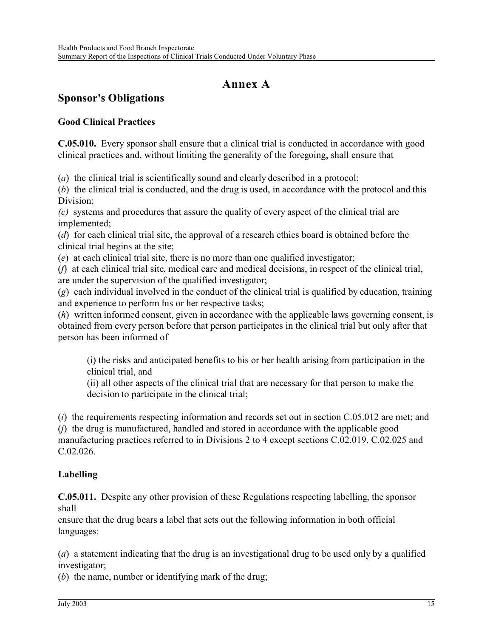## **Annex A**

# **Sponsor's Obligations**

#### **Good Clinical Practices**

**C.05.010.** Every sponsor shall ensure that a clinical trial is conducted in accordance with good clinical practices and, without limiting the generality of the foregoing, shall ensure that

(*a*) the clinical trial is scientifically sound and clearly described in a protocol;

(*b*) the clinical trial is conducted, and the drug is used, in accordance with the protocol and this Division;

*(c)* systems and procedures that assure the quality of every aspect of the clinical trial are implemented;

(*d*) for each clinical trial site, the approval of a research ethics board is obtained before the clinical trial begins at the site;

(*e*) at each clinical trial site, there is no more than one qualified investigator;

(*f*) at each clinical trial site, medical care and medical decisions, in respect of the clinical trial, are under the supervision of the qualified investigator;

(*g*) each individual involved in the conduct of the clinical trial is qualified by education, training and experience to perform his or her respective tasks;

(*h*) written informed consent, given in accordance with the applicable laws governing consent, is obtained from every person before that person participates in the clinical trial but only after that person has been informed of

(i) the risks and anticipated benefits to his or her health arising from participation in the clinical trial, and

(ii) all other aspects of the clinical trial that are necessary for that person to make the decision to participate in the clinical trial;

(*i*) the requirements respecting information and records set out in section C.05.012 are met; and (*j*) the drug is manufactured, handled and stored in accordance with the applicable good manufacturing practices referred to in Divisions 2 to 4 except sections C.02.019, C.02.025 and C.02.026.

## **Labelling**

**C.05.011.** Despite any other provision of these Regulations respecting labelling, the sponsor shall

ensure that the drug bears a label that sets out the following information in both official languages:

(*a*) a statement indicating that the drug is an investigational drug to be used only by a qualified investigator;

(*b*) the name, number or identifying mark of the drug;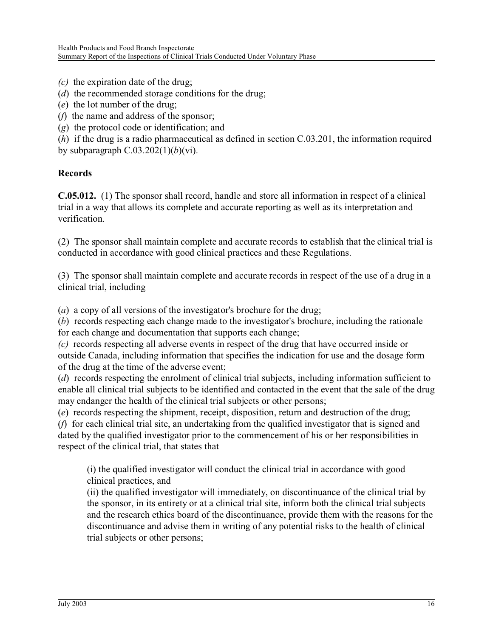- *(c)* the expiration date of the drug;
- (*d*) the recommended storage conditions for the drug;
- (*e*) the lot number of the drug;
- (*f*) the name and address of the sponsor;
- (*g*) the protocol code or identification; and

(*h*) if the drug is a radio pharmaceutical as defined in section C.03.201, the information required by subparagraph C.03.202(1)(*b*)(vi).

## **Records**

**C.05.012.** (1) The sponsor shall record, handle and store all information in respect of a clinical trial in a way that allows its complete and accurate reporting as well as its interpretation and verification.

(2) The sponsor shall maintain complete and accurate records to establish that the clinical trial is conducted in accordance with good clinical practices and these Regulations.

(3) The sponsor shall maintain complete and accurate records in respect of the use of a drug in a clinical trial, including

(*a*) a copy of all versions of the investigator's brochure for the drug;

(*b*) records respecting each change made to the investigator's brochure, including the rationale for each change and documentation that supports each change;

*(c)* records respecting all adverse events in respect of the drug that have occurred inside or outside Canada, including information that specifies the indication for use and the dosage form of the drug at the time of the adverse event;

(*d*) records respecting the enrolment of clinical trial subjects, including information sufficient to enable all clinical trial subjects to be identified and contacted in the event that the sale of the drug may endanger the health of the clinical trial subjects or other persons;

(*e*) records respecting the shipment, receipt, disposition, return and destruction of the drug;

(*f*) for each clinical trial site, an undertaking from the qualified investigator that is signed and dated by the qualified investigator prior to the commencement of his or her responsibilities in respect of the clinical trial, that states that

(i) the qualified investigator will conduct the clinical trial in accordance with good clinical practices, and

(ii) the qualified investigator will immediately, on discontinuance of the clinical trial by the sponsor, in its entirety or at a clinical trial site, inform both the clinical trial subjects and the research ethics board of the discontinuance, provide them with the reasons for the discontinuance and advise them in writing of any potential risks to the health of clinical trial subjects or other persons;